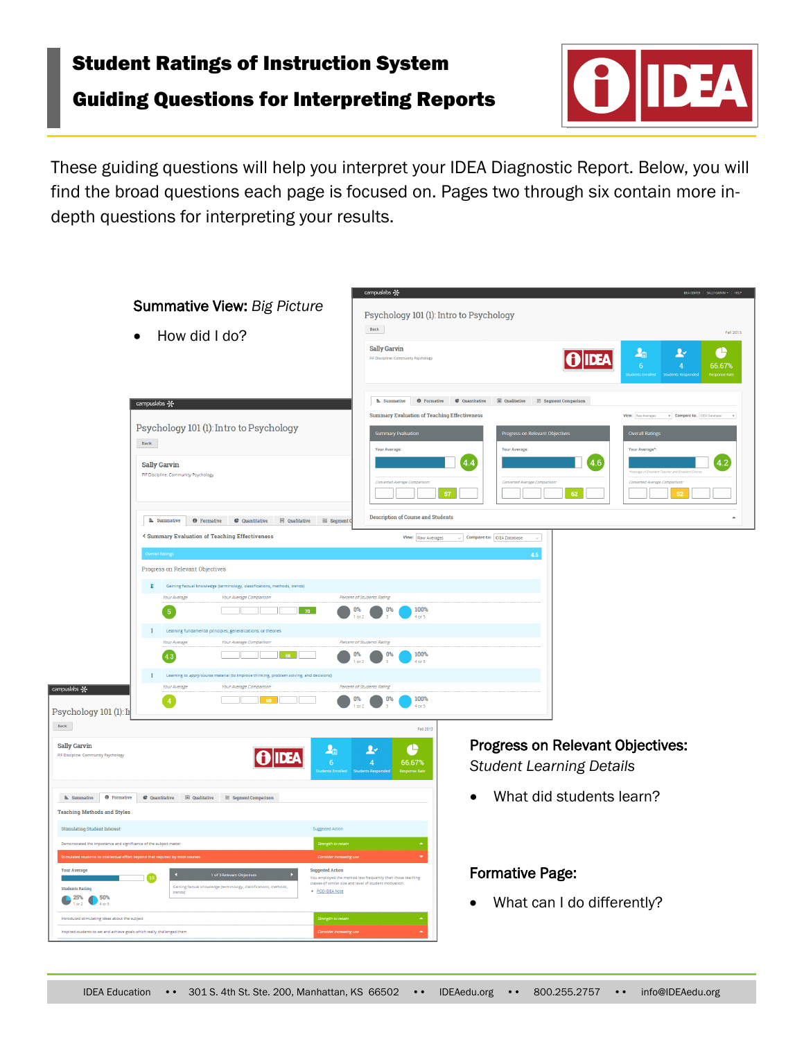# Student Ratings of Instruction System

## Guiding Questions for Interpreting Reports



These guiding questions will help you interpret your IDEA Diagnostic Report. Below, you will find the broad questions each page is focused on. Pages two through six contain more indepth questions for interpreting your results.

|                                                                                                                                                                                                                                                                                                      | <b>Summative View: Big Picture</b><br>How did I do?                                                                                                                                                                                                                                                                                                                                                                                                                                                                                                | campuslabs &<br>Psychology 101 (1): Intro to Psychology<br>Back<br><b>Sally Garvin</b><br>FIF Discipline: Community Psychology                                                                                                            |                                                                                                                                                                                                                                          | łb<br>$\vert \mathbf{0} \vert$ idea<br>6 <sup>1</sup> | SALLY GARVIN .   HELF<br>Fall 2013<br>¢<br>Ŀ<br>$\overline{4}$<br>66.67%                                                                        |
|------------------------------------------------------------------------------------------------------------------------------------------------------------------------------------------------------------------------------------------------------------------------------------------------------|----------------------------------------------------------------------------------------------------------------------------------------------------------------------------------------------------------------------------------------------------------------------------------------------------------------------------------------------------------------------------------------------------------------------------------------------------------------------------------------------------------------------------------------------------|-------------------------------------------------------------------------------------------------------------------------------------------------------------------------------------------------------------------------------------------|------------------------------------------------------------------------------------------------------------------------------------------------------------------------------------------------------------------------------------------|-------------------------------------------------------|-------------------------------------------------------------------------------------------------------------------------------------------------|
|                                                                                                                                                                                                                                                                                                      | campuslabs -<br>Psychology 101 (1): Intro to Psychology<br>Back<br><b>Sally Garvin</b><br>FIF Discipline: Community Psychology<br>E Summative<br><b>O</b> Formative<br>C Quantitative                                                                                                                                                                                                                                                                                                                                                              | <b>E.</b> Summative<br><b>O</b> Formative<br><b>Summary Evaluation of Teaching Effectiveness</b><br>Summary Evaluation<br><b>Your Average</b><br>Converted Average Compariso<br>57<br><b>Description of Course and Students</b>           | C Quantitative<br>$\quad \  \  \boxplus \,\, \text{Qualitative} \qquad \  \  \text{ } \widetilde{\equiv} \,\, \text{Segment Comparison}$<br>Progress on Relevant Objectives<br><b>Your Average</b><br>4.4<br>Converted Average Compariso | 4.6<br>62                                             | View: Raw Averages v Compare to: IDEA Database<br><b>Overall Ratings</b><br>Your Average <sup>*</sup><br>4.2<br>Converted Average Compart<br>52 |
| campuslabs &<br>Psychology 101 (1): In<br>$\mbox{Back}$                                                                                                                                                                                                                                              | < Summary Evaluation of Teaching Effectiveness<br><b>Overall Rating</b><br>Progress on Relevant Objectives<br>E Gaining factual knowledge (terminology, classifications, methods, trends)<br><b>Your Average</b><br>Your Average Comparison<br>$-70$<br>$-5$<br>$I$ Learning fundamental principles, generalizations, or theories<br>Your Average<br>Your Average Comparison<br>43<br>58<br>I Learning to apply course material (to improve thinking, problem solving, and decisions)<br>Your Average<br>Your Average Comparison<br>$\overline{4}$ | View: Raw Averages<br>Percent of Students Rating<br>100%<br>0%<br>0%<br>or 2<br>$4$ or $5$<br>Percent of Students Rating<br>100%<br>for 5<br>Percent of Students Rating<br>100%<br>0%<br>0%<br>$4$ or $5$<br>Fall 2013                    | Compare to: IDEA Database<br>4.6                                                                                                                                                                                                         |                                                       |                                                                                                                                                 |
| <b>Sally Garvin</b><br>FIF Discipline: Community Psychology<br><b>E.</b> Summative <b>O</b> Formative<br><b>Teaching Methods and Styles</b>                                                                                                                                                          | AIDEA<br>$\bullet$ Quantitative $\qquad \qquad \boxplus$ Qualitative $\qquad \cong$ Segment Comparison                                                                                                                                                                                                                                                                                                                                                                                                                                             | $\bullet$<br>⊻<br>ła<br>$\overline{4}$<br>66.67%<br>6                                                                                                                                                                                     | <b>Progress on Relevant Objectives:</b><br><b>Student Learning Details</b>                                                                                                                                                               | What did students learn?                              |                                                                                                                                                 |
| Stimulating Student Interest<br>nonstrated the importance and significance of the subject matter<br><b>Your Average</b><br><b>Students Rating</b><br>25%<br>50%<br>or 2<br>Introduced stimulating ideas about the subject<br>Inspired students to set and achieve goals which really challenged them | ents to intellectual effort beyond that required by m<br>1 of 3 $Re$<br>.<br>Gaining factual knowledge (terminology, classifications, methods,<br>trends)                                                                                                                                                                                                                                                                                                                                                                                          | <b>Suggested Action</b><br>rength to retai<br><b>Suggested Action</b><br>You employed the method less frequently than those teaching<br>classes of similar size and level of student motivation.<br>· POD IDEA Note<br>Strength to retain | <b>Formative Page:</b><br>$\bullet$                                                                                                                                                                                                      | What can I do differently?                            |                                                                                                                                                 |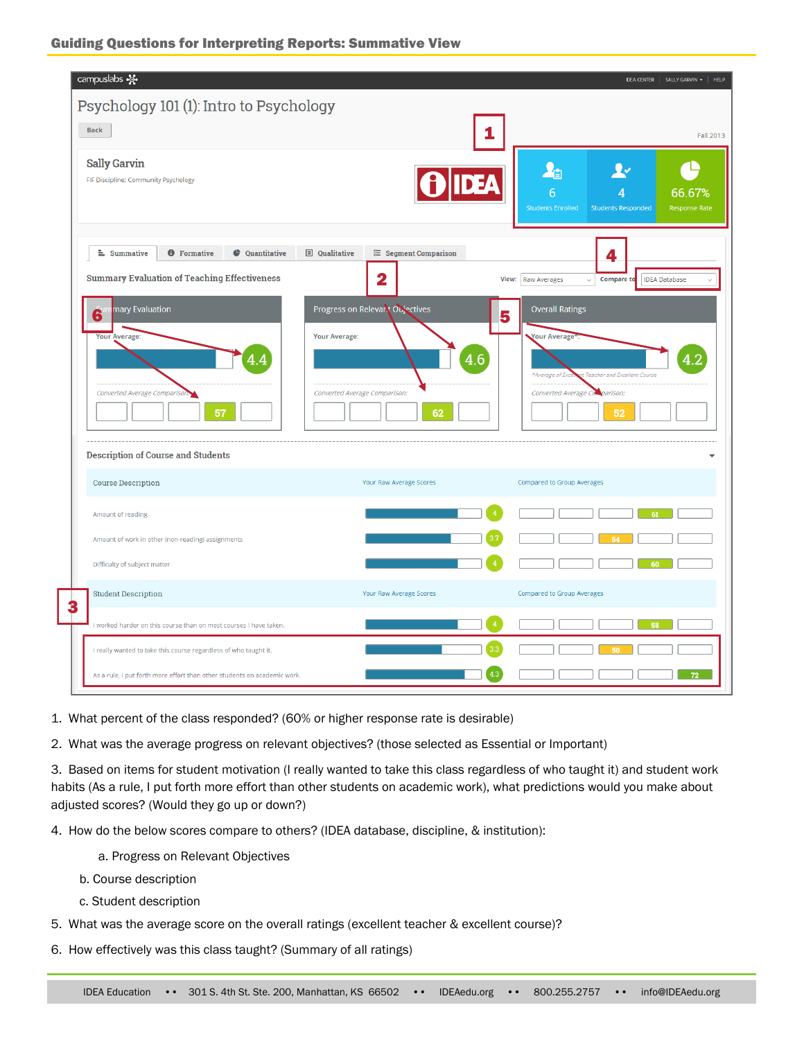| Psychology 101 (1): Intro to Psychology<br><b>Back</b>                                                                    | 1                                                                                       | <b>Fall 2013</b>                                                                                                                          |
|---------------------------------------------------------------------------------------------------------------------------|-----------------------------------------------------------------------------------------|-------------------------------------------------------------------------------------------------------------------------------------------|
| <b>Sally Garvin</b><br>FIF Discipline: Community Psychology                                                               |                                                                                         | 心<br>⊻≁<br>6<br>66.67%<br><b>Students Enrolled</b><br><b>Students Responded</b><br>Response Rate                                          |
| <b>E</b> Summative<br><b>O</b> Formative<br>Cuantitative                                                                  | <b>□</b> Qualitative<br><sup>≈</sup> Segment Comparison                                 | 4                                                                                                                                         |
| <b>Summary Evaluation of Teaching Effectiveness</b>                                                                       | $\mathbf 2$                                                                             | <b>Compare to</b><br><b>IDEA Database</b><br>View: Raw Averages<br>$\checkmark$                                                           |
| nary Evaluation<br>6<br>Your Average:<br>Converted Average Comparison.<br>57<br><b>Description of Course and Students</b> | Progress on Relevant Objectives<br>Your Average:<br>Converted Average Comparison:<br>62 | <b>Overall Ratings</b><br>5<br>Your Average<br>at Teacher and Excellent Course<br>*Average of Exci<br>Converted Average Comparison:<br>52 |
| <b>Course Description</b>                                                                                                 | Your Raw Average Scores                                                                 | Compared to Group Averages                                                                                                                |
| Amount of reading                                                                                                         |                                                                                         | 61                                                                                                                                        |
| Amount of work in other (non-reading) assignments                                                                         |                                                                                         |                                                                                                                                           |
| Difficulty of subject matter                                                                                              |                                                                                         | 60                                                                                                                                        |
| <b>Student Description</b>                                                                                                | Your Raw Average Scores                                                                 | Compared to Group Averages                                                                                                                |
| I worked harder on this course than on most courses I have taken.                                                         |                                                                                         | $\sqrt{4}$<br>58                                                                                                                          |
| I really wanted to take this course regardless of who taught it.                                                          |                                                                                         |                                                                                                                                           |
|                                                                                                                           |                                                                                         | 72                                                                                                                                        |

1. What percent of the class responded? (60% or higher response rate is desirable)

2. What was the average progress on relevant objectives? (those selected as Essential or Important)

3. Based on items for student motivation (I really wanted to take this class regardless of who taught it) and student work habits (As a rule, I put forth more effort than other students on academic work), what predictions would you make about adjusted scores? (Would they go up or down?)

- 4. How do the below scores compare to others? (IDEA database, discipline, & institution):
	- a. Progress on Relevant Objectives
	- b. Course description
	- c. Student description
- 5. What was the average score on the overall ratings (excellent teacher & excellent course)?
- 6. How effectively was this class taught? (Summary of all ratings)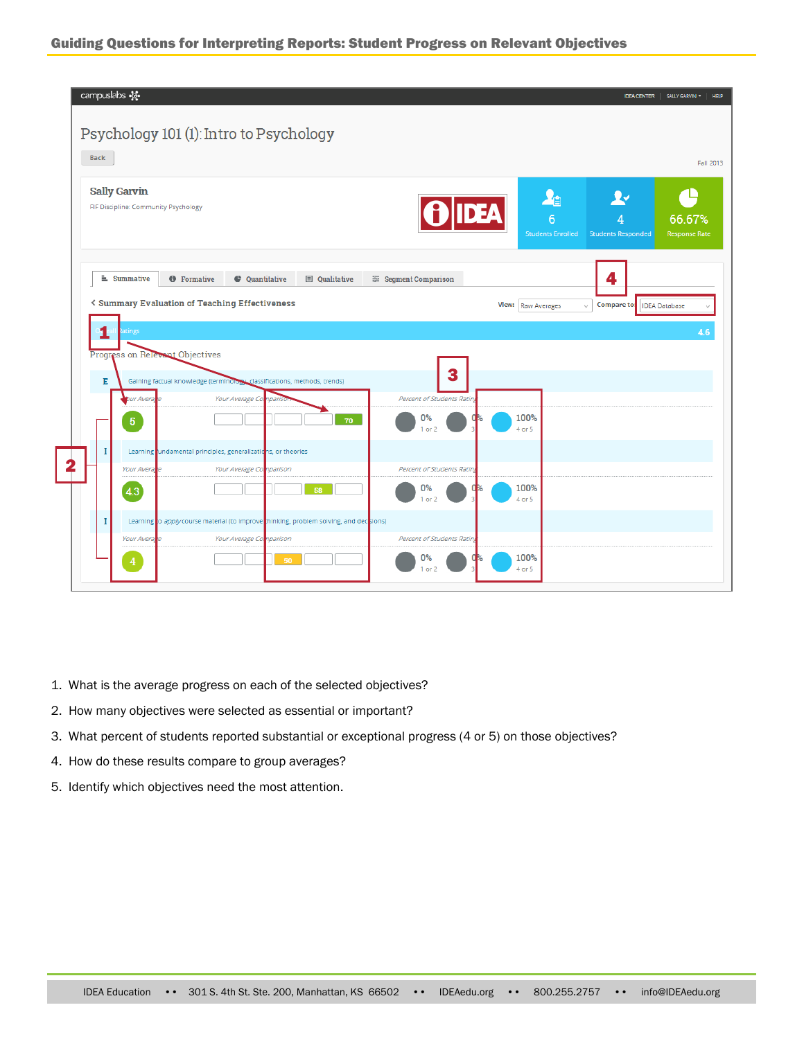#### Guiding Questions for Interpreting Reports: Student Progress on Relevant Objectives

| Back        |                                                             |                                                                                                                   |                                 |                                                    |                                             |                                |
|-------------|-------------------------------------------------------------|-------------------------------------------------------------------------------------------------------------------|---------------------------------|----------------------------------------------------|---------------------------------------------|--------------------------------|
|             | <b>Sally Garvin</b><br>FIF Discipline: Community Psychology |                                                                                                                   | <b>IDEA</b>                     | $\mathbf{A}_{\square}$<br><b>Students Enrolled</b> | $\Omega$<br><b>Students Responded</b>       | 66.67%<br><b>Response Rate</b> |
|             | $\equiv$ Summative                                          | <b>O</b> Formative<br>Cuantitative<br><b>El</b> Qualitative                                                       | <sup>≅</sup> Segment Comparison |                                                    | 4                                           |                                |
|             |                                                             | <b>&lt; Summary Evaluation of Teaching Effectiveness</b>                                                          |                                 | View:   Raw Averages                               | Compare to:   IDEA Database<br>$\checkmark$ |                                |
|             |                                                             |                                                                                                                   |                                 |                                                    |                                             |                                |
|             | tings                                                       |                                                                                                                   |                                 |                                                    |                                             |                                |
|             | Progress on Relevant Objectives                             |                                                                                                                   | 3                               |                                                    |                                             |                                |
| Е           | bur Averag                                                  | Gaining factual knowledge (terminology, classifications, methods, trends)<br>Your Average Co.<br>nparisc          | Percent of Students Ratin,      |                                                    |                                             |                                |
|             | $\overline{5}$                                              | 70                                                                                                                | 0%<br>O<br>$1$ or $2$           | 100%<br>4 or 5                                     |                                             |                                |
| I           |                                                             | Learning undamental principles, generalizations, or theories                                                      |                                 |                                                    |                                             |                                |
|             | <b>Your Averag</b>                                          | Your Average Comparison                                                                                           | Percent of Students Rating      |                                                    |                                             |                                |
|             | 4.3                                                         | 58                                                                                                                | 0%<br>0<br>$1$ or $2$           | 100%<br>4 or 5                                     |                                             |                                |
|             |                                                             |                                                                                                                   |                                 |                                                    |                                             |                                |
| $\mathbf I$ | Your Averag                                                 | Learning o apply course material (to improve thinking, problem solving, and decisions)<br>Your Average Comparison | Percent of Students Rating      |                                                    |                                             |                                |

- 1. What is the average progress on each of the selected objectives?
- 2. How many objectives were selected as essential or important?
- 3. What percent of students reported substantial or exceptional progress (4 or 5) on those objectives?
- 4. How do these results compare to group averages?
- 5. Identify which objectives need the most attention.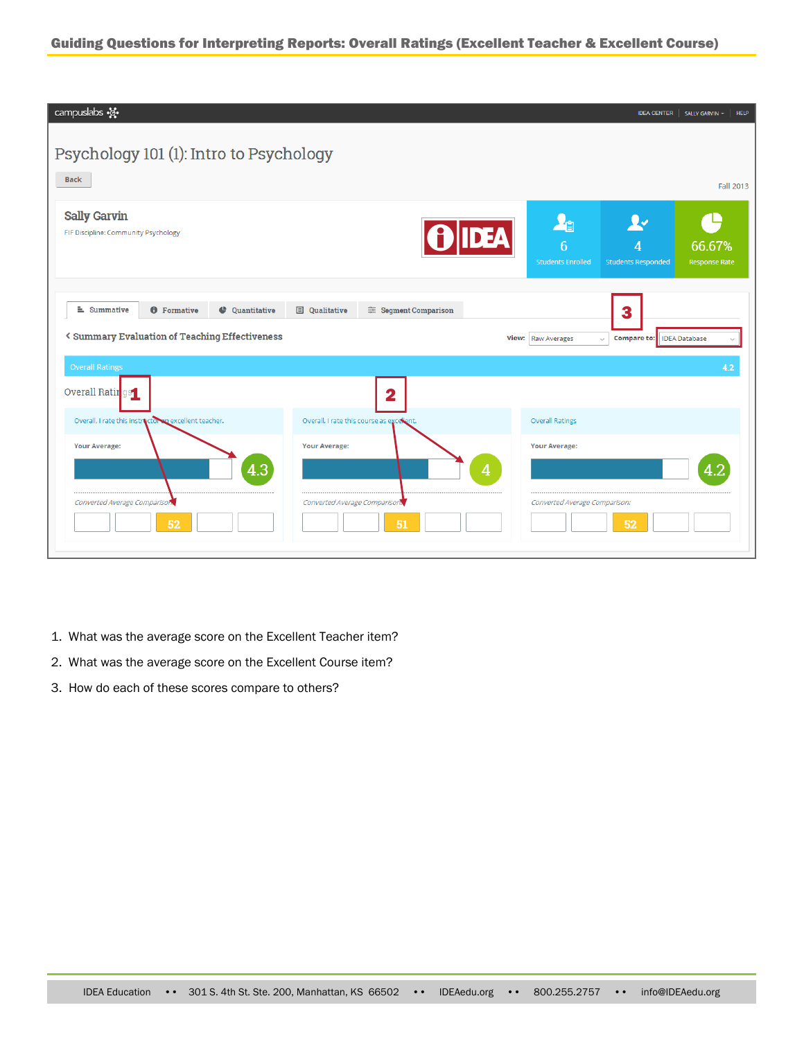#### Guiding Questions for Interpreting Reports: Overall Ratings (Excellent Teacher & Excellent Course)

| campuslabs -                                                                                                         |                                                         | IDEA CENTER   SALLY GARVIN ~<br>HELP                                                                                                                            |
|----------------------------------------------------------------------------------------------------------------------|---------------------------------------------------------|-----------------------------------------------------------------------------------------------------------------------------------------------------------------|
| Psychology 101 (1): Intro to Psychology                                                                              |                                                         |                                                                                                                                                                 |
| <b>Back</b>                                                                                                          |                                                         | Fall 2013                                                                                                                                                       |
| <b>Sally Garvin</b><br>FIF Discipline: Community Psychology                                                          |                                                         | $\mathbf{A}_{\square}$<br>⊻≁<br><b>O IDEA</b><br>$\overline{6}$<br>66.67%<br>4<br><b>Students Enrolled</b><br><b>Students Responded</b><br><b>Response Rate</b> |
| <b>≛</b> Summative<br><b>O</b> Formative<br>Cuantitative<br><b>&lt; Summary Evaluation of Teaching Effectiveness</b> | <sup>≈</sup> Segment Comparison<br><b>E</b> Qualitative | 3<br><b>IDEA</b> Database<br>View: Raw Averages<br>Compare to:<br>$\checkmark$                                                                                  |
| <b>Overall Ratings</b><br>Overall Ratin qs                                                                           | $\overline{\mathbf{2}}$                                 | 4.2                                                                                                                                                             |
| Overall, I rate this instractor a excellent teacher.                                                                 | Overall, I rate this course as excellent.               | <b>Overall Ratings</b>                                                                                                                                          |
| <b>Your Average:</b><br>4.3                                                                                          | <b>Your Average:</b>                                    | <b>Your Average:</b><br>4.2<br>4                                                                                                                                |
| Converted Average Comparison                                                                                         | Converted Average Comparison.                           | Converted Average Comparison:                                                                                                                                   |
| 52                                                                                                                   | 51                                                      | 52                                                                                                                                                              |

- 1. What was the average score on the Excellent Teacher item?
- 2. What was the average score on the Excellent Course item?
- 3. How do each of these scores compare to others?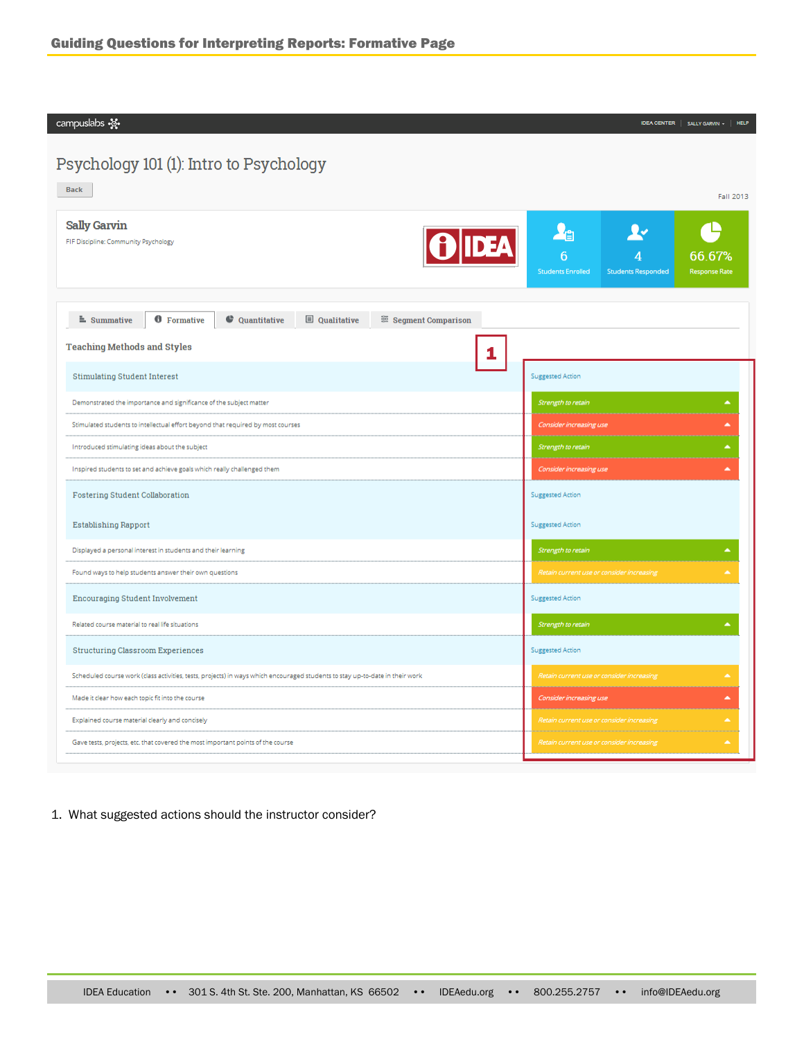campuslabs  $\mathcal{L}$ 

### Psychology 101 (1): Intro to Psychology

| <b>Back</b>                                                                                                                  | Fall 2013                                                                                                                     |  |  |
|------------------------------------------------------------------------------------------------------------------------------|-------------------------------------------------------------------------------------------------------------------------------|--|--|
| <b>Sally Garvin</b><br><b>DEA</b><br>FIF Discipline: Community Psychology                                                    | <b>A</b> a<br>⊻≁<br>$\overline{6}$<br>66.67%<br><b>Students Enrolled</b><br><b>Response Rate</b><br><b>Students Responded</b> |  |  |
| <b><i>O</i></b> Formative<br><b>E</b> Qualitative<br>$\triangle$ Summative<br>C Quantitative<br>Segment Comparison           |                                                                                                                               |  |  |
| <b>Teaching Methods and Styles</b>                                                                                           |                                                                                                                               |  |  |
| <b>Stimulating Student Interest</b>                                                                                          | <b>Suggested Action</b>                                                                                                       |  |  |
| Demonstrated the importance and significance of the subject matter                                                           | Strength to retain<br>▲                                                                                                       |  |  |
| Stimulated students to intellectual effort beyond that required by most courses                                              | Consider increasing use<br>$\hat{\phantom{a}}$                                                                                |  |  |
| Introduced stimulating ideas about the subject                                                                               | A.<br>Strength to retain                                                                                                      |  |  |
| Inspired students to set and achieve goals which really challenged them                                                      | Consider increasing use                                                                                                       |  |  |
| <b>Fostering Student Collaboration</b>                                                                                       | <b>Suggested Action</b>                                                                                                       |  |  |
| <b>Establishing Rapport</b>                                                                                                  | <b>Suggested Action</b>                                                                                                       |  |  |
| Displayed a personal interest in students and their learning                                                                 | Strength to retain                                                                                                            |  |  |
| Found ways to help students answer their own questions                                                                       | Retain current use or consider increasing                                                                                     |  |  |
| <b>Encouraging Student Involvement</b>                                                                                       | <b>Suggested Action</b>                                                                                                       |  |  |
| Related course material to real life situations                                                                              | Strength to retain                                                                                                            |  |  |
| Structuring Classroom Experiences                                                                                            | Suggested Action                                                                                                              |  |  |
| Scheduled course work (class activities, tests, projects) in ways which encouraged students to stay up-to-date in their work | Retain current use or consider increasing                                                                                     |  |  |
| Made it clear how each topic fit into the course                                                                             | Consider increasing use<br>$\hat{\phantom{a}}$                                                                                |  |  |
| Explained course material clearly and concisely                                                                              | A.<br>Retain current use or consider increasing                                                                               |  |  |
| Gave tests, projects, etc. that covered the most important points of the course                                              | Retain current use or consider increasing<br>×                                                                                |  |  |
|                                                                                                                              |                                                                                                                               |  |  |

 $\begin{tabular}{c|c|c} \textbf{IDEA CENTER} & \textbf{SALLY GARNIN} & \textbf{+} & \textbf{HELP} \end{tabular}$ 

#### 1. What suggested actions should the instructor consider?